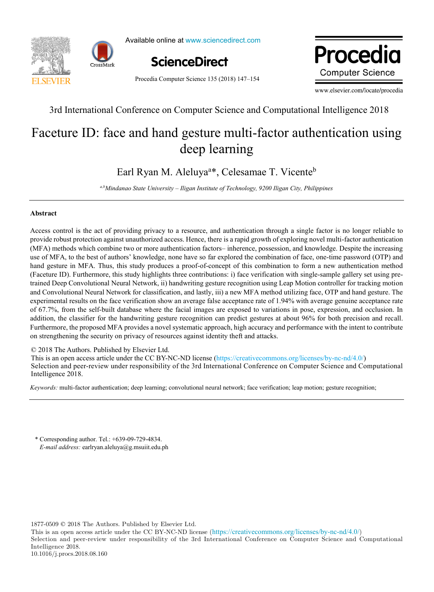



Available online at www.sciencedirect.com



Procedia Computer Science 135 (2018) 147–154

www.elsevier.com/locate/procediate/procediate/procediate/procediate/procediate/procediate/procediate/procediate/ Procedia **Computer Science** 

www.elsevier.com/locate/procedia

3rd International Conference on Computer Science and Computational Intelligence 2018 3rd International Conference on Computer Science and Computational Intelligence 2018

# Faceture ID: face and hand gesture multi-factor authentication using deep learning Faceture ID: face and hand gesture multi-factor authentication using deep learning

Earl Ryan M. Aleluyaa \*, Celesamae T. Vicenteb Earl Ryan M. Aleluya<sup>a\*</sup>, Celesamae T. Vicente<sup>b</sup>

*a,bMindanao State University – Iligan Institute of Technology, 9200 Iligan City, Philippines*

### **Abstract**

Access control is the act of providing privacy to a resource, and authentication through a single factor is no longer reliable to provide robust protection against unauthorized access. Hence, there is a rapid growth of exploring novel multi-factor authentication (MFA) methods which combine two or more authentication factors-inherence, possession, and knowledge. Despite the increasing use of MFA, to the best of authors' knowledge, none have so far explored the combination of face, one-time password (OTP) and hand gesture in MFA. Thus, this study produces a proof-of-concept of this combination to form a new authentication method (Faceture ID). Furthermore, this study highlights three contributions: i) face verification with single-sample gallery set using pretrained Deep Convolutional Neural Network, ii) handwriting gesture recognition using Leap Motion controller for tracking motion and Convolutional Neural Network for classification, and lastly, iii) a new MFA method utilizing face, OTP and hand gesture. The experimental results on the face verification show an average false acceptance rate of 1.94% with average genuine acceptance rate of 67.7%, from the self-built database where the facial images are exposed to variations in pose, expression, and occlusion. In addition, the classifier for the handwriting gesture recognition can predict gestures at about 96% for both precision and recall. Furthermore, the proposed MFA provides a novel systematic approach, high accuracy and performance with the intent to contribute on strengthening the security on privacy of resources against identity theft and attacks.

© 2018 The Authors. Published by Elsevier Ltd. © 2018 The Authors. Published by Elsevier Ltd.

C 2018 The Additions. Fubrished by Eisevier Etd.<br>This is an open access article under the CC BY-NC-ND license (https://creativecommons.org/licenses/by-nc-nd/4.0/) Selection and peer-review under responsibility of the 3rd International Conference on Computer Science and Computational Intelligence 2018. Intelligence 2018. Selection and peer-review under responsibility of the 3rd International Conference on Compare Science and Computational Computer Science and Computer Science and Computer Science and Computer Science and Computer Science a  $\mathcal{L}$ 

*Keywords:* multi-factor authentication; deep learning; convolutional neural network; face verification; leap motion; gesture recognition; *Keywords:* multi-factor authentication; deep learning; convolutional neural network; face verification; leap motion; gesture recognition;

\* Corresponding author. Tel.: +639-09-729-4834. E-mail address: earlryan.aleluya@g.msuiit.edu.ph

1877-0509 © 2018 The Authors. Published by Elsevier Ltd.

This is an open access article under the CC BY-NC-ND license (<https://creativecommons.org/licenses/by-nc-nd/4.0/>) Selection and peer-review under responsibility of the 3rd International Conference on Computer Science and Computational Intelligence 2018. 10.1016/j.procs.2018.08.160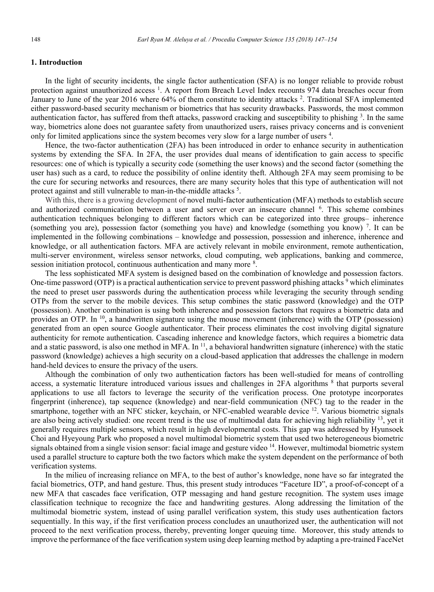## **1. Introduction**

In the light of security incidents, the single factor authentication (SFA) is no longer reliable to provide robust protection against unauthorized access<sup>1</sup>. A report from Breach Level Index recounts 974 data breaches occur from January to June of the year 2016 where 64% of them constitute to identity attacks<sup>2</sup>. Traditional SFA implemented either password-based security mechanism or biometrics that has security drawbacks. Passwords, the most common authentication factor, has suffered from theft attacks, password cracking and susceptibility to phishing <sup>3</sup>. In the same way, biometrics alone does not guarantee safety from unauthorized users, raises privacy concerns and is convenient only for limited applications since the system becomes very slow for a large number of users <sup>4</sup>.

Hence, the two-factor authentication (2FA) has been introduced in order to enhance security in authentication systems by extending the SFA. In 2FA, the user provides dual means of identification to gain access to specific resources: one of which is typically a security code (something the user knows) and the second factor (something the user has) such as a card, to reduce the possibility of online identity theft. Although 2FA may seem promising to be the cure for securing networks and resources, there are many security holes that this type of authentication will not protect against and still vulnerable to man-in-the-middle attacks<sup>5</sup>.

With this, there is a growing development of novel multi-factor authentication (MFA) methods to establish secure and authorized communication between a user and server over an insecure channel <sup>6</sup>. This scheme combines authentication techniques belonging to different factors which can be categorized into three groups– inherence (something you are), possession factor (something you have) and knowledge (something you know) <sup>7</sup> . It can be implemented in the following combinations – knowledge and possession, possession and inherence, inherence and knowledge, or all authentication factors. MFA are actively relevant in mobile environment, remote authentication, multi-server environment, wireless sensor networks, cloud computing, web applications, banking and commerce, session initiation protocol, continuous authentication and many more <sup>8</sup>.

The less sophisticated MFA system is designed based on the combination of knowledge and possession factors. One-time password (OTP) is a practical authentication service to prevent password phishing attacks  $9$  which eliminates the need to preset user passwords during the authentication process while leveraging the security through sending OTPs from the server to the mobile devices. This setup combines the static password (knowledge) and the OTP (possession). Another combination is using both inherence and possession factors that requires a biometric data and provides an OTP. In <sup>10</sup>, a handwritten signature using the mouse movement (inherence) with the OTP (possession) generated from an open source Google authenticator. Their process eliminates the cost involving digital signature authenticity for remote authentication. Cascading inherence and knowledge factors, which requires a biometric data and a static password, is also one method in MFA. In <sup>11</sup>, a behavioral handwritten signature (inherence) with the static password (knowledge) achieves a high security on a cloud-based application that addresses the challenge in modern hand-held devices to ensure the privacy of the users.

Although the combination of only two authentication factors has been well-studied for means of controlling access, a systematic literature introduced various issues and challenges in 2FA algorithms <sup>8</sup> that purports several applications to use all factors to leverage the security of the verification process. One prototype incorporates fingerprint (inherence), tap sequence (knowledge) and near-field communication (NFC) tag to the reader in the smartphone, together with an NFC sticker, keychain, or NFC-enabled wearable device <sup>12</sup>. Various biometric signals are also being actively studied: one recent trend is the use of multimodal data for achieving high reliability <sup>13</sup>, yet it generally requires multiple sensors, which result in high developmental costs. This gap was addressed by Hyunsoek Choi and Hyeyoung Park who proposed a novel multimodal biometric system that used two heterogeneous biometric signals obtained from a single vision sensor: facial image and gesture video <sup>14</sup>. However, multimodal biometric system used a parallel structure to capture both the two factors which make the system dependent on the performance of both verification systems.

In the milieu of increasing reliance on MFA, to the best of author's knowledge, none have so far integrated the facial biometrics, OTP, and hand gesture. Thus, this present study introduces "Faceture ID", a proof-of-concept of a new MFA that cascades face verification, OTP messaging and hand gesture recognition. The system uses image classification technique to recognize the face and handwriting gestures. Along addressing the limitation of the multimodal biometric system, instead of using parallel verification system, this study uses authentication factors sequentially. In this way, if the first verification process concludes an unauthorized user, the authentication will not proceed to the next verification process, thereby, preventing longer queuing time. Moreover, this study attends to improve the performance of the face verification system using deep learning method by adapting a pre-trained FaceNet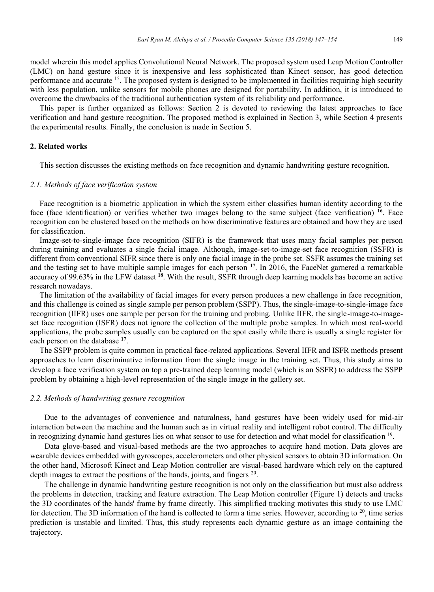model wherein this model applies Convolutional Neural Network. The proposed system used Leap Motion Controller (LMC) on hand gesture since it is inexpensive and less sophisticated than Kinect sensor, has good detection performance and accurate 15. The proposed system is designed to be implemented in facilities requiring high security with less population, unlike sensors for mobile phones are designed for portability. In addition, it is introduced to overcome the drawbacks of the traditional authentication system of its reliability and performance.

This paper is further organized as follows: Section 2 is devoted to reviewing the latest approaches to face verification and hand gesture recognition. The proposed method is explained in Section 3, while Section 4 presents the experimental results. Finally, the conclusion is made in Section 5.

### **2. Related works**

This section discusses the existing methods on face recognition and dynamic handwriting gesture recognition.

## *2.1. Methods of face verification system*

Face recognition is a biometric application in which the system either classifies human identity according to the face (face identification) or verifies whether two images belong to the same subject (face verification) **<sup>16</sup>**. Face recognition can be clustered based on the methods on how discriminative features are obtained and how they are used for classification.

Image-set-to-single-image face recognition (SIFR) is the framework that uses many facial samples per person during training and evaluates a single facial image. Although, image-set-to-image-set face recognition (SSFR) is different from conventional SIFR since there is only one facial image in the probe set. SSFR assumes the training set and the testing set to have multiple sample images for each person **<sup>17</sup>**. In 2016, the FaceNet garnered a remarkable accuracy of 99.63% in the LFW dataset **<sup>18</sup>**. With the result, SSFR through deep learning models has become an active research nowadays.

The limitation of the availability of facial images for every person produces a new challenge in face recognition, and this challenge is coined as single sample per person problem (SSPP). Thus, the single-image-to-single-image face recognition (IIFR) uses one sample per person for the training and probing. Unlike IIFR, the single-image-to-imageset face recognition (ISFR) does not ignore the collection of the multiple probe samples. In which most real-world applications, the probe samples usually can be captured on the spot easily while there is usually a single register for each person on the database **<sup>17</sup>**.

The SSPP problem is quite common in practical face-related applications. Several IIFR and ISFR methods present approaches to learn discriminative information from the single image in the training set. Thus, this study aims to develop a face verification system on top a pre-trained deep learning model (which is an SSFR) to address the SSPP problem by obtaining a high-level representation of the single image in the gallery set.

#### *2.2. Methods of handwriting gesture recognition*

Due to the advantages of convenience and naturalness, hand gestures have been widely used for mid-air interaction between the machine and the human such as in virtual reality and intelligent robot control. The difficulty in recognizing dynamic hand gestures lies on what sensor to use for detection and what model for classification 19.

Data glove-based and visual-based methods are the two approaches to acquire hand motion. Data gloves are wearable devices embedded with gyroscopes, accelerometers and other physical sensors to obtain 3D information. On the other hand, Microsoft Kinect and Leap Motion controller are visual-based hardware which rely on the captured depth images to extract the positions of the hands, joints, and fingers <sup>20</sup>.

The challenge in dynamic handwriting gesture recognition is not only on the classification but must also address the problems in detection, tracking and feature extraction. The Leap Motion controller (Figure 1) detects and tracks the 3D coordinates of the hands' frame by frame directly. This simplified tracking motivates this study to use LMC for detection. The 3D information of the hand is collected to form a time series. However, according to  $^{20}$ , time series prediction is unstable and limited. Thus, this study represents each dynamic gesture as an image containing the trajectory.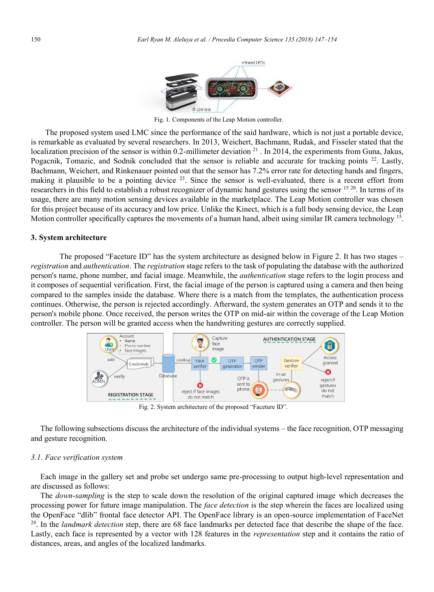

Fig. 1. Components of the Leap Motion controller.

The proposed system used LMC since the performance of the said hardware, which is not just a portable device, is remarkable as evaluated by several researchers. In 2013, Weichert, Bachmann, Rudak, and Fisseler stated that the localization precision of the sensor is within 0.2-millimeter deviation <sup>21</sup>. In 2014, the experiments from Guna, Jakus, Pogacnik, Tomazic, and Sodnik concluded that the sensor is reliable and accurate for tracking points 22. Lastly, Bachmann, Weichert, and Rinkenauer pointed out that the sensor has 7.2% error rate for detecting hands and fingers, making it plausible to be a pointing device  $2<sup>3</sup>$ . Since the sensor is well-evaluated, there is a recent effort from researchers in this field to establish a robust recognizer of dynamic hand gestures using the sensor  $15\,20$ . In terms of its usage, there are many motion sensing devices available in the marketplace. The Leap Motion controller was chosen for this project because of its accuracy and low price. Unlike the Kinect, which is a full body sensing device, the Leap Motion controller specifically captures the movements of a human hand, albeit using similar IR camera technology <sup>15</sup>.

### **3. System architecture**

The proposed "Faceture ID" has the system architecture as designed below in Figure 2. It has two stages – *registration* and *authentication*. The *registration* stage refers to the task of populating the database with the authorized person's name, phone number, and facial image. Meanwhile, the *authentication* stage refers to the login process and it composes of sequential verification. First, the facial image of the person is captured using a camera and then being compared to the samples inside the database. Where there is a match from the templates, the authentication process continues. Otherwise, the person is rejected accordingly. Afterward, the system generates an OTP and sends it to the person's mobile phone. Once received, the person writes the OTP on mid-air within the coverage of the Leap Motion controller. The person will be granted access when the handwriting gestures are correctly supplied.



Fig. 2. System architecture of the proposed "Faceture ID".

The following subsections discuss the architecture of the individual systems – the face recognition, OTP messaging and gesture recognition.

### *3.1. Face verification system*

Each image in the gallery set and probe set undergo same pre-processing to output high-level representation and are discussed as follows:

The *down-sampling* is the step to scale down the resolution of the original captured image which decreases the processing power for future image manipulation. The *face detection* is the step wherein the faces are localized using the OpenFace "dlib" frontal face detector API. The OpenFace library is an open-source implementation of FaceNet 24. In the *landmark detection* step, there are 68 face landmarks per detected face that describe the shape of the face. Lastly, each face is represented by a vector with 128 features in the *representation* step and it contains the ratio of distances, areas, and angles of the localized landmarks.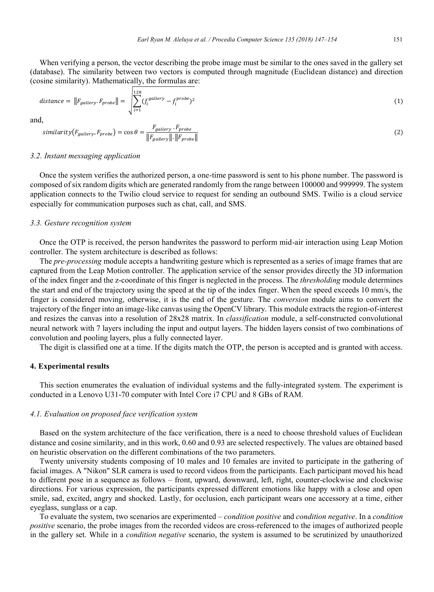When verifying a person, the vector describing the probe image must be similar to the ones saved in the gallery set (database). The similarity between two vectors is computed through magnitude (Euclidean distance) and direction (cosine similarity). Mathematically, the formulas are:

$$
distance = ||F_{gallowy}.F_{probe}|| = \sqrt{\sum_{i=1}^{128} (f_i^{gallowy} - f_i^{probe})^2}
$$
\n(1)

and,

$$
similarity(F_{gallery}, F_{probe}) = \cos\theta = \frac{F_{gallery} \cdot F_{probe}}{||F_{gallery}|| \cdot ||F_{probe}||}
$$
\n(2)

#### *3.2. Instant messaging application*

Once the system verifies the authorized person, a one-time password is sent to his phone number. The password is composed of six random digits which are generated randomly from the range between 100000 and 999999. The system application connects to the Twilio cloud service to request for sending an outbound SMS. Twilio is a cloud service especially for communication purposes such as chat, call, and SMS.

#### *3.3. Gesture recognition system*

Once the OTP is received, the person handwrites the password to perform mid-air interaction using Leap Motion controller. The system architecture is described as follows:

The *pre-processing* module accepts a handwriting gesture which is represented as a series of image frames that are captured from the Leap Motion controller. The application service of the sensor provides directly the 3D information of the index finger and the z-coordinate of this finger is neglected in the process. The *thresholding* module determines the start and end of the trajectory using the speed at the tip of the index finger. When the speed exceeds 10 mm/s, the finger is considered moving, otherwise, it is the end of the gesture. The *conversion* module aims to convert the trajectory of the finger into an image-like canvas using the OpenCV library. This module extracts the region-of-interest and resizes the canvas into a resolution of 28x28 matrix. In *classification* module, a self-constructed convolutional neural network with 7 layers including the input and output layers. The hidden layers consist of two combinations of convolution and pooling layers, plus a fully connected layer.

The digit is classified one at a time. If the digits match the OTP, the person is accepted and is granted with access.

### **4. Experimental results**

This section enumerates the evaluation of individual systems and the fully-integrated system. The experiment is conducted in a Lenovo U31-70 computer with Intel Core i7 CPU and 8 GBs of RAM.

### *4.1. Evaluation on proposed face verification system*

Based on the system architecture of the face verification, there is a need to choose threshold values of Euclidean distance and cosine similarity, and in this work, 0.60 and 0.93 are selected respectively. The values are obtained based on heuristic observation on the different combinations of the two parameters.

Twenty university students composing of 10 males and 10 females are invited to participate in the gathering of facial images. A "Nikon" SLR camera is used to record videos from the participants. Each participant moved his head to different pose in a sequence as follows – front, upward, downward, left, right, counter-clockwise and clockwise directions. For various expression, the participants expressed different emotions like happy with a close and open smile, sad, excited, angry and shocked. Lastly, for occlusion, each participant wears one accessory at a time, either eyeglass, sunglass or a cap.

To evaluate the system, two scenarios are experimented – *condition positive* and *condition negative*. In a *condition positive* scenario, the probe images from the recorded videos are cross-referenced to the images of authorized people in the gallery set. While in a *condition negative* scenario, the system is assumed to be scrutinized by unauthorized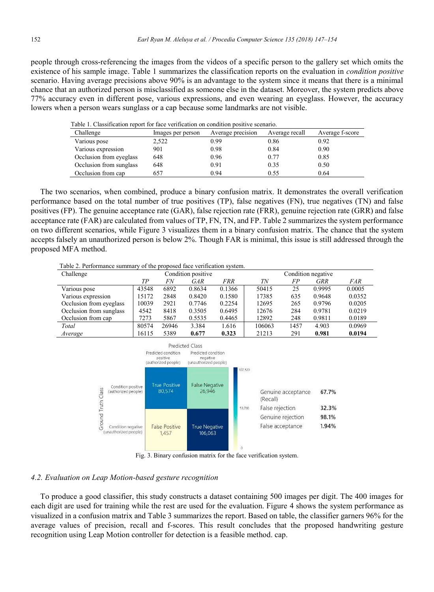people through cross-referencing the images from the videos of a specific person to the gallery set which omits the existence of his sample image. Table 1 summarizes the classification reports on the evaluation in *condition positive* scenario. Having average precisions above 90% is an advantage to the system since it means that there is a minimal chance that an authorized person is misclassified as someone else in the dataset. Moreover, the system predicts above 77% accuracy even in different pose, various expressions, and even wearing an eyeglass. However, the accuracy lowers when a person wears sunglass or a cap because some landmarks are not visible.

|  |  |  |  | Table 1. Classification report for face verification on condition positive scenario. |  |  |
|--|--|--|--|--------------------------------------------------------------------------------------|--|--|
|  |  |  |  |                                                                                      |  |  |

| Challenge               | Images per person | Average precision | Average recall | Average f-score |
|-------------------------|-------------------|-------------------|----------------|-----------------|
| Various pose            | 2,522             | 0.99              | 0.86           | 0.92            |
| Various expression      | 901               | 0.98              | 0.84           | 0.90            |
| Occlusion from eyeglass | 648               | 0.96              | 0.77           | 0.85            |
| Occlusion from sunglass | 648               | 0.91              | 0.35           | 0.50            |
| Occlusion from cap      | 657               | 0.94              | 0.55           | 0.64            |

The two scenarios, when combined, produce a binary confusion matrix. It demonstrates the overall verification performance based on the total number of true positives (TP), false negatives (FN), true negatives (TN) and false positives (FP). The genuine acceptance rate (GAR), false rejection rate (FRR), genuine rejection rate (GRR) and false acceptance rate (FAR) are calculated from values of TP, FN, TN, and FP. Table 2 summarizes the system performance on two different scenarios, while Figure 3 visualizes them in a binary confusion matrix. The chance that the system accepts falsely an unauthorized person is below 2%. Though FAR is minimal, this issue is still addressed through the proposed MFA method.

Table 2. Performance summary of the proposed face verification system.

| Challenge               | Condition positive |       |        |        | Condition negative |      |            |        |
|-------------------------|--------------------|-------|--------|--------|--------------------|------|------------|--------|
|                         | TР                 | FN    | GAR    | FRR    | ΤN                 | FP   | <b>GRR</b> | FAR    |
| Various pose            | 43548              | 6892  | 0.8634 | 0.1366 | 50415              | 25   | 0.9995     | 0.0005 |
| Various expression      | 15172              | 2848  | 0.8420 | 0.1580 | 17385              | 635  | 0.9648     | 0.0352 |
| Occlusion from eyeglass | 10039              | 2921  | 0.7746 | 0.2254 | 12695              | 265  | 0.9796     | 0.0205 |
| Occlusion from sunglass | 4542               | 8418  | 0.3505 | 0.6495 | 12676              | 284  | 0.9781     | 0.0219 |
| Occlusion from cap      | 7273               | 5867  | 0.5535 | 0.4465 | 12892              | 248  | 0.9811     | 0.0189 |
| Total                   | 80574              | 26946 | 3.384  | 1.616  | 106063             | 1457 | 4.903      | 0.0969 |
| Average                 | 16115              | 5389  | 0.677  | 0.323  | 21213              | 291  | 0.981      | 0.0194 |



Fig. 3. Binary confusion matrix for the face verification system.

### *4.2. Evaluation on Leap Motion-based gesture recognition*

To produce a good classifier, this study constructs a dataset containing 500 images per digit. The 400 images for each digit are used for training while the rest are used for the evaluation. Figure 4 shows the system performance as visualized in a confusion matrix and Table 3 summarizes the report. Based on table, the classifier garners 96% for the average values of precision, recall and f-scores. This result concludes that the proposed handwriting gesture recognition using Leap Motion controller for detection is a feasible method. cap.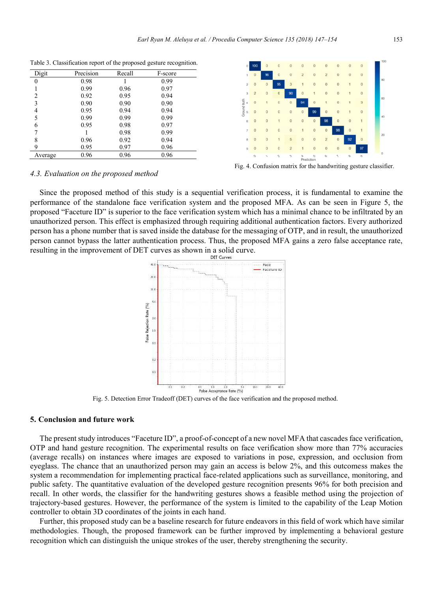| Digit   | Precision | Recall | F-score |
|---------|-----------|--------|---------|
| 0       | 0.98      |        | 0.99    |
|         | 0.99      | 0.96   | 0.97    |
| 2       | 0.92      | 0.95   | 0.94    |
| 3       | 0.90      | 0.90   | 0.90    |
| 4       | 0.95      | 0.94   | 0.94    |
| 5       | 0.99      | 0.99   | 0.99    |
| 6       | 0.95      | 0.98   | 0.97    |
| 7       |           | 0.98   | 0.99    |
| 8       | 0.96      | 0.92   | 0.94    |
| 9       | 0.95      | 0.97   | 0.96    |
| Average | 0.96      | 0.96   | 0.96    |

Table 3. Classification report of the proposed gesture recognition.



Fig. 4. Confusion matrix for the handwriting gesture classifier.

## *4.3. Evaluation on the proposed method*

Since the proposed method of this study is a sequential verification process, it is fundamental to examine the performance of the standalone face verification system and the proposed MFA. As can be seen in Figure 5, the proposed "Faceture ID" is superior to the face verification system which has a minimal chance to be infiltrated by an unauthorized person. This effect is emphasized through requiring additional authentication factors. Every authorized person has a phone number that is saved inside the database for the messaging of OTP, and in result, the unauthorized person cannot bypass the latter authentication process. Thus, the proposed MFA gains a zero false acceptance rate, resulting in the improvement of DET curves as shown in a solid curve.



Fig. 5. Detection Error Tradeoff (DET) curves of the face verification and the proposed method.

### **5. Conclusion and future work**

The present study introduces "Faceture ID", a proof-of-concept of a new novel MFA that cascades face verification, OTP and hand gesture recognition. The experimental results on face verification show more than 77% accuracies (average recalls) on instances where images are exposed to variations in pose, expression, and occlusion from eyeglass. The chance that an unauthorized person may gain an access is below 2%, and this outcomess makes the system a recommendation for implementing practical face-related applications such as surveillance, monitoring, and public safety. The quantitative evaluation of the developed gesture recognition presents 96% for both precision and recall. In other words, the classifier for the handwriting gestures shows a feasible method using the projection of trajectory-based gestures. However, the performance of the system is limited to the capability of the Leap Motion controller to obtain 3D coordinates of the joints in each hand.

Further, this proposed study can be a baseline research for future endeavors in this field of work which have similar methodologies. Though, the proposed framework can be further improved by implementing a behavioral gesture recognition which can distinguish the unique strokes of the user, thereby strengthening the security.